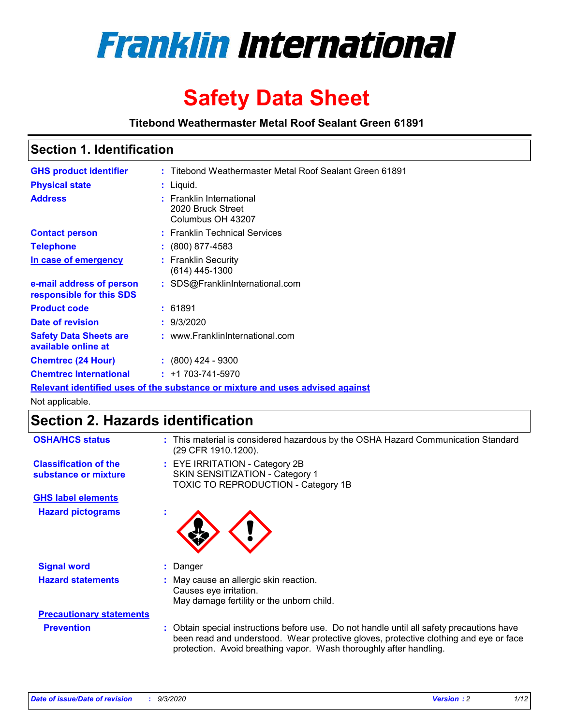

# **Safety Data Sheet**

**Titebond Weathermaster Metal Roof Sealant Green 61891**

## **Section 1. Identification**

| <b>GHS product identifier</b>                                                 |  | : Titebond Weathermaster Metal Roof Sealant Green 61891            |  |  |
|-------------------------------------------------------------------------------|--|--------------------------------------------------------------------|--|--|
| <b>Physical state</b>                                                         |  | $:$ Liquid.                                                        |  |  |
| <b>Address</b>                                                                |  | : Franklin International<br>2020 Bruck Street<br>Columbus OH 43207 |  |  |
| <b>Contact person</b>                                                         |  | : Franklin Technical Services                                      |  |  |
| <b>Telephone</b>                                                              |  | $\colon$ (800) 877-4583                                            |  |  |
| In case of emergency                                                          |  | : Franklin Security<br>$(614)$ 445-1300                            |  |  |
| e-mail address of person<br>responsible for this SDS                          |  | : SDS@FranklinInternational.com                                    |  |  |
| <b>Product code</b>                                                           |  | : 61891                                                            |  |  |
| Date of revision                                                              |  | : 9/3/2020                                                         |  |  |
| <b>Safety Data Sheets are</b><br>available online at                          |  | : www.FranklinInternational.com                                    |  |  |
| <b>Chemtrec (24 Hour)</b>                                                     |  | $: (800)$ 424 - 9300                                               |  |  |
| <b>Chemtrec International</b>                                                 |  | $: +1703 - 741 - 5970$                                             |  |  |
| Relevant identified uses of the substance or mixture and uses advised against |  |                                                                    |  |  |

Not applicable.

# **Section 2. Hazards identification**

| <b>OSHA/HCS status</b>                               |    | : This material is considered hazardous by the OSHA Hazard Communication Standard<br>(29 CFR 1910.1200).                                                                                                                                                 |
|------------------------------------------------------|----|----------------------------------------------------------------------------------------------------------------------------------------------------------------------------------------------------------------------------------------------------------|
| <b>Classification of the</b><br>substance or mixture |    | : EYE IRRITATION - Category 2B<br>SKIN SENSITIZATION - Category 1<br>TOXIC TO REPRODUCTION - Category 1B                                                                                                                                                 |
| <b>GHS label elements</b>                            |    |                                                                                                                                                                                                                                                          |
| <b>Hazard pictograms</b>                             | ×. |                                                                                                                                                                                                                                                          |
| <b>Signal word</b>                                   | ÷. | Danger                                                                                                                                                                                                                                                   |
| <b>Hazard statements</b>                             |    | May cause an allergic skin reaction.<br>Causes eye irritation.<br>May damage fertility or the unborn child.                                                                                                                                              |
| <b>Precautionary statements</b>                      |    |                                                                                                                                                                                                                                                          |
| <b>Prevention</b>                                    |    | : Obtain special instructions before use. Do not handle until all safety precautions have<br>been read and understood. Wear protective gloves, protective clothing and eye or face<br>protection. Avoid breathing vapor. Wash thoroughly after handling. |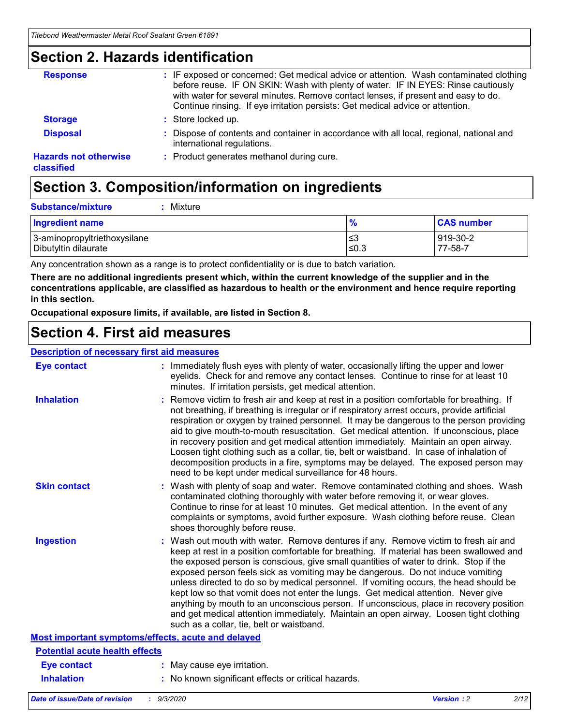### **Section 2. Hazards identification**

| <b>Response</b>                            | : IF exposed or concerned: Get medical advice or attention. Wash contaminated clothing<br>before reuse. IF ON SKIN: Wash with plenty of water. IF IN EYES: Rinse cautiously<br>with water for several minutes. Remove contact lenses, if present and easy to do.<br>Continue rinsing. If eye irritation persists: Get medical advice or attention. |
|--------------------------------------------|----------------------------------------------------------------------------------------------------------------------------------------------------------------------------------------------------------------------------------------------------------------------------------------------------------------------------------------------------|
| <b>Storage</b>                             | : Store locked up.                                                                                                                                                                                                                                                                                                                                 |
| <b>Disposal</b>                            | : Dispose of contents and container in accordance with all local, regional, national and<br>international regulations.                                                                                                                                                                                                                             |
| <b>Hazards not otherwise</b><br>classified | : Product generates methanol during cure.                                                                                                                                                                                                                                                                                                          |

# **Section 3. Composition/information on ingredients**

| <b>Substance/mixture</b> | Mixture |
|--------------------------|---------|
|                          |         |

| <b>Ingredient name</b>       | $\frac{9}{6}$ | <b>CAS number</b> |
|------------------------------|---------------|-------------------|
| 3-aminopropyltriethoxysilane | ≤3            | 919-30-2          |
| Dibutyltin dilaurate         | ∣≤0.3         | 77-58-7           |

Any concentration shown as a range is to protect confidentiality or is due to batch variation.

**There are no additional ingredients present which, within the current knowledge of the supplier and in the concentrations applicable, are classified as hazardous to health or the environment and hence require reporting in this section.**

**Occupational exposure limits, if available, are listed in Section 8.**

## **Section 4. First aid measures**

| <b>Description of necessary first aid measures</b> |                                                                                                                                                                                                                                                                                                                                                                                                                                                                                                                                                                                                                                                                                                                                                                           |
|----------------------------------------------------|---------------------------------------------------------------------------------------------------------------------------------------------------------------------------------------------------------------------------------------------------------------------------------------------------------------------------------------------------------------------------------------------------------------------------------------------------------------------------------------------------------------------------------------------------------------------------------------------------------------------------------------------------------------------------------------------------------------------------------------------------------------------------|
| <b>Eye contact</b>                                 | : Immediately flush eyes with plenty of water, occasionally lifting the upper and lower<br>eyelids. Check for and remove any contact lenses. Continue to rinse for at least 10<br>minutes. If irritation persists, get medical attention.                                                                                                                                                                                                                                                                                                                                                                                                                                                                                                                                 |
| <b>Inhalation</b>                                  | : Remove victim to fresh air and keep at rest in a position comfortable for breathing. If<br>not breathing, if breathing is irregular or if respiratory arrest occurs, provide artificial<br>respiration or oxygen by trained personnel. It may be dangerous to the person providing<br>aid to give mouth-to-mouth resuscitation. Get medical attention. If unconscious, place<br>in recovery position and get medical attention immediately. Maintain an open airway.<br>Loosen tight clothing such as a collar, tie, belt or waistband. In case of inhalation of<br>decomposition products in a fire, symptoms may be delayed. The exposed person may<br>need to be kept under medical surveillance for 48 hours.                                                       |
| <b>Skin contact</b>                                | : Wash with plenty of soap and water. Remove contaminated clothing and shoes. Wash<br>contaminated clothing thoroughly with water before removing it, or wear gloves.<br>Continue to rinse for at least 10 minutes. Get medical attention. In the event of any<br>complaints or symptoms, avoid further exposure. Wash clothing before reuse. Clean<br>shoes thoroughly before reuse.                                                                                                                                                                                                                                                                                                                                                                                     |
| <b>Ingestion</b>                                   | : Wash out mouth with water. Remove dentures if any. Remove victim to fresh air and<br>keep at rest in a position comfortable for breathing. If material has been swallowed and<br>the exposed person is conscious, give small quantities of water to drink. Stop if the<br>exposed person feels sick as vomiting may be dangerous. Do not induce vomiting<br>unless directed to do so by medical personnel. If vomiting occurs, the head should be<br>kept low so that vomit does not enter the lungs. Get medical attention. Never give<br>anything by mouth to an unconscious person. If unconscious, place in recovery position<br>and get medical attention immediately. Maintain an open airway. Loosen tight clothing<br>such as a collar, tie, belt or waistband. |
| Most important symptoms/effects, acute and delayed |                                                                                                                                                                                                                                                                                                                                                                                                                                                                                                                                                                                                                                                                                                                                                                           |
| <b>Potential acute health effects</b>              |                                                                                                                                                                                                                                                                                                                                                                                                                                                                                                                                                                                                                                                                                                                                                                           |
| Eye contact                                        | : May cause eye irritation.                                                                                                                                                                                                                                                                                                                                                                                                                                                                                                                                                                                                                                                                                                                                               |
| <b>Inhalation</b>                                  | : No known significant effects or critical hazards.                                                                                                                                                                                                                                                                                                                                                                                                                                                                                                                                                                                                                                                                                                                       |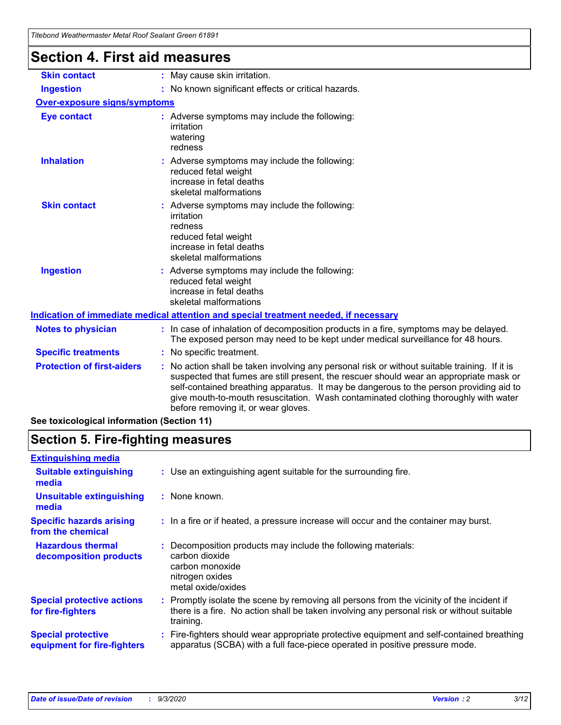| i ilebohu wealhehiidslei weldi Roof Sedidhi Green 61691 |                                                                                                                                                                                                                                                                                                                                                                                                               |
|---------------------------------------------------------|---------------------------------------------------------------------------------------------------------------------------------------------------------------------------------------------------------------------------------------------------------------------------------------------------------------------------------------------------------------------------------------------------------------|
| <b>Section 4. First aid measures</b>                    |                                                                                                                                                                                                                                                                                                                                                                                                               |
| <b>Skin contact</b>                                     | : May cause skin irritation.                                                                                                                                                                                                                                                                                                                                                                                  |
| <b>Ingestion</b>                                        | : No known significant effects or critical hazards.                                                                                                                                                                                                                                                                                                                                                           |
| <b>Over-exposure signs/symptoms</b>                     |                                                                                                                                                                                                                                                                                                                                                                                                               |
| <b>Eye contact</b>                                      | : Adverse symptoms may include the following:<br>irritation<br>watering<br>redness                                                                                                                                                                                                                                                                                                                            |
| <b>Inhalation</b>                                       | : Adverse symptoms may include the following:<br>reduced fetal weight<br>increase in fetal deaths<br>skeletal malformations                                                                                                                                                                                                                                                                                   |
| <b>Skin contact</b>                                     | : Adverse symptoms may include the following:<br>irritation<br>redness<br>reduced fetal weight<br>increase in fetal deaths<br>skeletal malformations                                                                                                                                                                                                                                                          |
| <b>Ingestion</b>                                        | : Adverse symptoms may include the following:<br>reduced fetal weight<br>increase in fetal deaths<br>skeletal malformations                                                                                                                                                                                                                                                                                   |
|                                                         | Indication of immediate medical attention and special treatment needed, if necessary                                                                                                                                                                                                                                                                                                                          |
| <b>Notes to physician</b>                               | : In case of inhalation of decomposition products in a fire, symptoms may be delayed.<br>The exposed person may need to be kept under medical surveillance for 48 hours.                                                                                                                                                                                                                                      |
| <b>Specific treatments</b>                              | : No specific treatment.                                                                                                                                                                                                                                                                                                                                                                                      |
| <b>Protection of first-aiders</b>                       | No action shall be taken involving any personal risk or without suitable training. If it is<br>suspected that fumes are still present, the rescuer should wear an appropriate mask or<br>self-contained breathing apparatus. It may be dangerous to the person providing aid to<br>give mouth-to-mouth resuscitation. Wash contaminated clothing thoroughly with water<br>before removing it, or wear gloves. |
| See toxicological information (Section 11)              |                                                                                                                                                                                                                                                                                                                                                                                                               |

# **Section 5. Fire-fighting measures**

| <b>Extinguishing media</b>                               |                                                                                                                                                                                                     |
|----------------------------------------------------------|-----------------------------------------------------------------------------------------------------------------------------------------------------------------------------------------------------|
| <b>Suitable extinguishing</b><br>media                   | : Use an extinguishing agent suitable for the surrounding fire.                                                                                                                                     |
| <b>Unsuitable extinguishing</b><br>media                 | : None known.                                                                                                                                                                                       |
| <b>Specific hazards arising</b><br>from the chemical     | : In a fire or if heated, a pressure increase will occur and the container may burst.                                                                                                               |
| <b>Hazardous thermal</b><br>decomposition products       | Decomposition products may include the following materials:<br>carbon dioxide<br>carbon monoxide<br>nitrogen oxides<br>metal oxide/oxides                                                           |
| <b>Special protective actions</b><br>for fire-fighters   | : Promptly isolate the scene by removing all persons from the vicinity of the incident if<br>there is a fire. No action shall be taken involving any personal risk or without suitable<br>training. |
| <b>Special protective</b><br>equipment for fire-fighters | Fire-fighters should wear appropriate protective equipment and self-contained breathing<br>apparatus (SCBA) with a full face-piece operated in positive pressure mode.                              |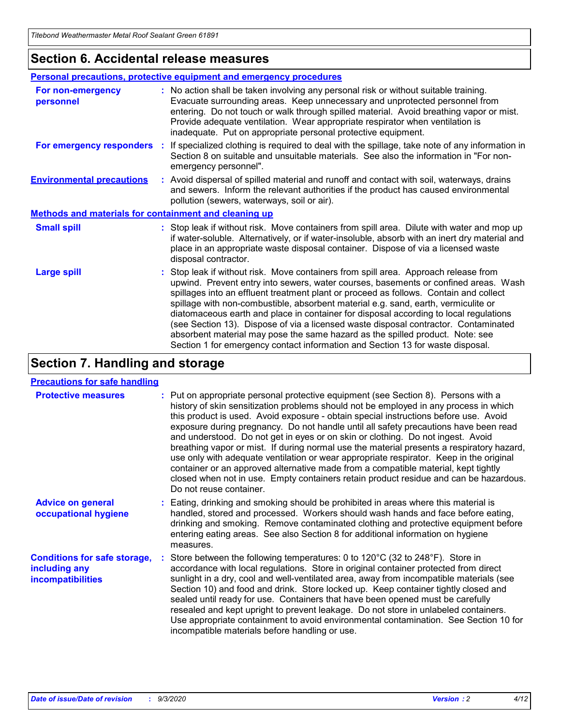### **Section 6. Accidental release measures**

|                                                              | Personal precautions, protective equipment and emergency procedures                                                                                                                                                                                                                                                                                                                                                                                                                                                                                                                                                                                                                                          |  |  |  |
|--------------------------------------------------------------|--------------------------------------------------------------------------------------------------------------------------------------------------------------------------------------------------------------------------------------------------------------------------------------------------------------------------------------------------------------------------------------------------------------------------------------------------------------------------------------------------------------------------------------------------------------------------------------------------------------------------------------------------------------------------------------------------------------|--|--|--|
| For non-emergency<br>personnel                               | : No action shall be taken involving any personal risk or without suitable training.<br>Evacuate surrounding areas. Keep unnecessary and unprotected personnel from<br>entering. Do not touch or walk through spilled material. Avoid breathing vapor or mist.<br>Provide adequate ventilation. Wear appropriate respirator when ventilation is<br>inadequate. Put on appropriate personal protective equipment.                                                                                                                                                                                                                                                                                             |  |  |  |
| For emergency responders                                     | : If specialized clothing is required to deal with the spillage, take note of any information in<br>Section 8 on suitable and unsuitable materials. See also the information in "For non-<br>emergency personnel".                                                                                                                                                                                                                                                                                                                                                                                                                                                                                           |  |  |  |
| <b>Environmental precautions</b>                             | : Avoid dispersal of spilled material and runoff and contact with soil, waterways, drains<br>and sewers. Inform the relevant authorities if the product has caused environmental<br>pollution (sewers, waterways, soil or air).                                                                                                                                                                                                                                                                                                                                                                                                                                                                              |  |  |  |
| <b>Methods and materials for containment and cleaning up</b> |                                                                                                                                                                                                                                                                                                                                                                                                                                                                                                                                                                                                                                                                                                              |  |  |  |
| <b>Small spill</b>                                           | : Stop leak if without risk. Move containers from spill area. Dilute with water and mop up<br>if water-soluble. Alternatively, or if water-insoluble, absorb with an inert dry material and<br>place in an appropriate waste disposal container. Dispose of via a licensed waste<br>disposal contractor.                                                                                                                                                                                                                                                                                                                                                                                                     |  |  |  |
| <b>Large spill</b>                                           | : Stop leak if without risk. Move containers from spill area. Approach release from<br>upwind. Prevent entry into sewers, water courses, basements or confined areas. Wash<br>spillages into an effluent treatment plant or proceed as follows. Contain and collect<br>spillage with non-combustible, absorbent material e.g. sand, earth, vermiculite or<br>diatomaceous earth and place in container for disposal according to local regulations<br>(see Section 13). Dispose of via a licensed waste disposal contractor. Contaminated<br>absorbent material may pose the same hazard as the spilled product. Note: see<br>Section 1 for emergency contact information and Section 13 for waste disposal. |  |  |  |

# **Section 7. Handling and storage**

### **Precautions for safe handling**

| <b>Protective measures</b>                                                       | : Put on appropriate personal protective equipment (see Section 8). Persons with a<br>history of skin sensitization problems should not be employed in any process in which<br>this product is used. Avoid exposure - obtain special instructions before use. Avoid<br>exposure during pregnancy. Do not handle until all safety precautions have been read<br>and understood. Do not get in eyes or on skin or clothing. Do not ingest. Avoid<br>breathing vapor or mist. If during normal use the material presents a respiratory hazard,<br>use only with adequate ventilation or wear appropriate respirator. Keep in the original<br>container or an approved alternative made from a compatible material, kept tightly<br>closed when not in use. Empty containers retain product residue and can be hazardous.<br>Do not reuse container. |
|----------------------------------------------------------------------------------|--------------------------------------------------------------------------------------------------------------------------------------------------------------------------------------------------------------------------------------------------------------------------------------------------------------------------------------------------------------------------------------------------------------------------------------------------------------------------------------------------------------------------------------------------------------------------------------------------------------------------------------------------------------------------------------------------------------------------------------------------------------------------------------------------------------------------------------------------|
| <b>Advice on general</b><br>occupational hygiene                                 | : Eating, drinking and smoking should be prohibited in areas where this material is<br>handled, stored and processed. Workers should wash hands and face before eating,<br>drinking and smoking. Remove contaminated clothing and protective equipment before<br>entering eating areas. See also Section 8 for additional information on hygiene<br>measures.                                                                                                                                                                                                                                                                                                                                                                                                                                                                                    |
| <b>Conditions for safe storage,</b><br>including any<br><i>incompatibilities</i> | Store between the following temperatures: 0 to $120^{\circ}$ C (32 to $248^{\circ}$ F). Store in<br>accordance with local regulations. Store in original container protected from direct<br>sunlight in a dry, cool and well-ventilated area, away from incompatible materials (see<br>Section 10) and food and drink. Store locked up. Keep container tightly closed and<br>sealed until ready for use. Containers that have been opened must be carefully<br>resealed and kept upright to prevent leakage. Do not store in unlabeled containers.<br>Use appropriate containment to avoid environmental contamination. See Section 10 for<br>incompatible materials before handling or use.                                                                                                                                                     |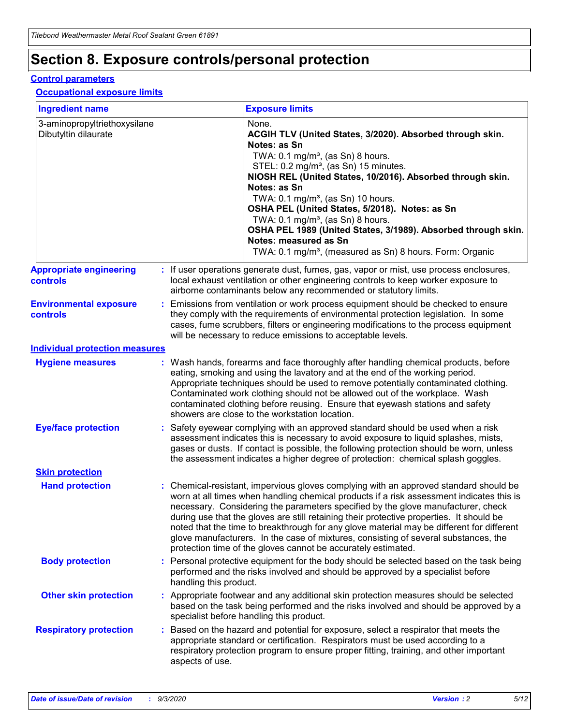# **Section 8. Exposure controls/personal protection**

### **Control parameters**

### **Occupational exposure limits**

| <b>Ingredient name</b>                               |    |                        | <b>Exposure limits</b>                                                                                                                                                                                                                                                                                                                                                                                                                                                                                                                                                                                                 |
|------------------------------------------------------|----|------------------------|------------------------------------------------------------------------------------------------------------------------------------------------------------------------------------------------------------------------------------------------------------------------------------------------------------------------------------------------------------------------------------------------------------------------------------------------------------------------------------------------------------------------------------------------------------------------------------------------------------------------|
| 3-aminopropyltriethoxysilane<br>Dibutyltin dilaurate |    |                        | None.<br>ACGIH TLV (United States, 3/2020). Absorbed through skin.<br>Notes: as Sn<br>TWA: $0.1 \text{ mg/m}^3$ , (as Sn) 8 hours.<br>STEL: 0.2 mg/m <sup>3</sup> , (as Sn) 15 minutes.<br>NIOSH REL (United States, 10/2016). Absorbed through skin.<br>Notes: as Sn<br>TWA: 0.1 mg/m <sup>3</sup> , (as Sn) 10 hours.<br>OSHA PEL (United States, 5/2018). Notes: as Sn<br>TWA: $0.1 \text{ mg/m}^3$ , (as Sn) 8 hours.<br>OSHA PEL 1989 (United States, 3/1989). Absorbed through skin.<br>Notes: measured as Sn<br>TWA: 0.1 mg/m <sup>3</sup> , (measured as Sn) 8 hours. Form: Organic                            |
| <b>Appropriate engineering</b><br>controls           |    |                        | : If user operations generate dust, fumes, gas, vapor or mist, use process enclosures,<br>local exhaust ventilation or other engineering controls to keep worker exposure to<br>airborne contaminants below any recommended or statutory limits.                                                                                                                                                                                                                                                                                                                                                                       |
| <b>Environmental exposure</b><br><b>controls</b>     |    |                        | Emissions from ventilation or work process equipment should be checked to ensure<br>they comply with the requirements of environmental protection legislation. In some<br>cases, fume scrubbers, filters or engineering modifications to the process equipment<br>will be necessary to reduce emissions to acceptable levels.                                                                                                                                                                                                                                                                                          |
| <b>Individual protection measures</b>                |    |                        |                                                                                                                                                                                                                                                                                                                                                                                                                                                                                                                                                                                                                        |
| <b>Hygiene measures</b>                              |    |                        | : Wash hands, forearms and face thoroughly after handling chemical products, before<br>eating, smoking and using the lavatory and at the end of the working period.<br>Appropriate techniques should be used to remove potentially contaminated clothing.<br>Contaminated work clothing should not be allowed out of the workplace. Wash<br>contaminated clothing before reusing. Ensure that eyewash stations and safety<br>showers are close to the workstation location.                                                                                                                                            |
| <b>Eye/face protection</b>                           |    |                        | Safety eyewear complying with an approved standard should be used when a risk<br>assessment indicates this is necessary to avoid exposure to liquid splashes, mists,<br>gases or dusts. If contact is possible, the following protection should be worn, unless<br>the assessment indicates a higher degree of protection: chemical splash goggles.                                                                                                                                                                                                                                                                    |
| <b>Skin protection</b>                               |    |                        |                                                                                                                                                                                                                                                                                                                                                                                                                                                                                                                                                                                                                        |
| <b>Hand protection</b>                               |    |                        | : Chemical-resistant, impervious gloves complying with an approved standard should be<br>worn at all times when handling chemical products if a risk assessment indicates this is<br>necessary. Considering the parameters specified by the glove manufacturer, check<br>during use that the gloves are still retaining their protective properties. It should be<br>noted that the time to breakthrough for any glove material may be different for different<br>glove manufacturers. In the case of mixtures, consisting of several substances, the<br>protection time of the gloves cannot be accurately estimated. |
| <b>Body protection</b>                               |    | handling this product. | Personal protective equipment for the body should be selected based on the task being<br>performed and the risks involved and should be approved by a specialist before                                                                                                                                                                                                                                                                                                                                                                                                                                                |
| <b>Other skin protection</b>                         |    |                        | Appropriate footwear and any additional skin protection measures should be selected<br>based on the task being performed and the risks involved and should be approved by a<br>specialist before handling this product.                                                                                                                                                                                                                                                                                                                                                                                                |
| <b>Respiratory protection</b>                        | ÷. | aspects of use.        | Based on the hazard and potential for exposure, select a respirator that meets the<br>appropriate standard or certification. Respirators must be used according to a<br>respiratory protection program to ensure proper fitting, training, and other important                                                                                                                                                                                                                                                                                                                                                         |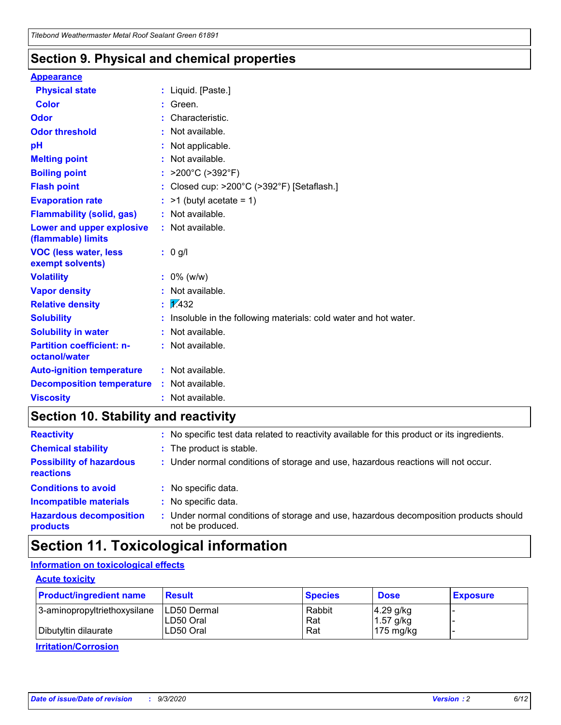### **Section 9. Physical and chemical properties**

### **Appearance**

| <b>Physical state</b>                             |   | : Liquid. [Paste.]                                              |
|---------------------------------------------------|---|-----------------------------------------------------------------|
| <b>Color</b>                                      |   | Green.                                                          |
| Odor                                              |   | Characteristic.                                                 |
| <b>Odor threshold</b>                             | ÷ | Not available.                                                  |
| рH                                                |   | Not applicable.                                                 |
| <b>Melting point</b>                              |   | : Not available.                                                |
| <b>Boiling point</b>                              |   | >200°C (>392°F)                                                 |
| <b>Flash point</b>                                |   | Closed cup: >200°C (>392°F) [Setaflash.]                        |
| <b>Evaporation rate</b>                           |   | $:$ >1 (butyl acetate = 1)                                      |
| <b>Flammability (solid, gas)</b>                  |   | : Not available.                                                |
| Lower and upper explosive<br>(flammable) limits   |   | : Not available.                                                |
| <b>VOC (less water, less)</b><br>exempt solvents) |   | : 0 g/l                                                         |
| <b>Volatility</b>                                 |   | $: 0\%$ (w/w)                                                   |
| <b>Vapor density</b>                              |   | Not available.                                                  |
| <b>Relative density</b>                           |   | $\mathbf{1}$ $\mathbf{\sqrt{432}}$                              |
| <b>Solubility</b>                                 |   | Insoluble in the following materials: cold water and hot water. |
| <b>Solubility in water</b>                        |   | Not available.                                                  |
| <b>Partition coefficient: n-</b><br>octanol/water |   | $:$ Not available.                                              |
| <b>Auto-ignition temperature</b>                  |   | : Not available.                                                |
| <b>Decomposition temperature</b>                  |   | : Not available.                                                |
| <b>Viscosity</b>                                  |   | $:$ Not available.                                              |

# **Section 10. Stability and reactivity**

| <b>Reactivity</b>                            |    | : No specific test data related to reactivity available for this product or its ingredients.            |
|----------------------------------------------|----|---------------------------------------------------------------------------------------------------------|
| <b>Chemical stability</b>                    |    | : The product is stable.                                                                                |
| <b>Possibility of hazardous</b><br>reactions |    | : Under normal conditions of storage and use, hazardous reactions will not occur.                       |
| <b>Conditions to avoid</b>                   |    | : No specific data.                                                                                     |
| <b>Incompatible materials</b>                |    | : No specific data.                                                                                     |
| <b>Hazardous decomposition</b><br>products   | ÷. | Under normal conditions of storage and use, hazardous decomposition products should<br>not be produced. |

# **Section 11. Toxicological information**

### **Information on toxicological effects**

### **Acute toxicity**

| <b>Product/ingredient name</b> | <b>Result</b>           | <b>Species</b> | <b>Dose</b>                | <b>Exposure</b> |
|--------------------------------|-------------------------|----------------|----------------------------|-----------------|
| 3-aminopropyltriethoxysilane   | <b>ILD50 Dermal</b>     | Rabbit         | 4.29 g/kg                  |                 |
| Dibutyltin dilaurate           | ILD50 Oral<br>LD50 Oral | Rat<br>Rat     | $1.57$ g/kg<br>175 $mg/kg$ |                 |
|                                |                         |                |                            |                 |

**Irritation/Corrosion**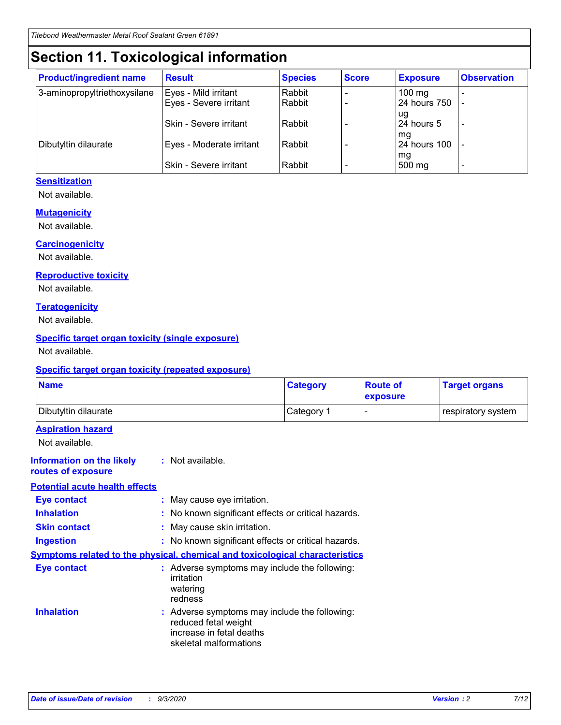# **Section 11. Toxicological information**

| <b>Product/ingredient name</b> | <b>Result</b>            | <b>Species</b> | <b>Score</b> | <b>Exposure</b>    | <b>Observation</b> |
|--------------------------------|--------------------------|----------------|--------------|--------------------|--------------------|
| 3-aminopropyltriethoxysilane   | Eyes - Mild irritant     | Rabbit         |              | $100$ mg           |                    |
|                                | Eyes - Severe irritant   | Rabbit         |              | 24 hours 750       |                    |
|                                |                          |                |              | ug                 |                    |
|                                | Skin - Severe irritant   | Rabbit         |              | 24 hours 5         | -                  |
| Dibutyltin dilaurate           | Eyes - Moderate irritant | Rabbit         |              | mg<br>24 hours 100 |                    |
|                                |                          |                |              | mg                 |                    |
|                                | Skin - Severe irritant   | Rabbit         |              | 500 mg             | -                  |

### **Sensitization**

Not available.

### **Mutagenicity**

Not available.

### **Carcinogenicity**

Not available.

### **Reproductive toxicity**

Not available.

### **Teratogenicity**

Not available.

### **Specific target organ toxicity (single exposure)**

Not available.

### **Specific target organ toxicity (repeated exposure)**

| <b>Name</b>                                                                  |                                                                                    | <b>Category</b>                                     | <b>Route of</b><br>exposure | <b>Target organs</b> |  |  |
|------------------------------------------------------------------------------|------------------------------------------------------------------------------------|-----------------------------------------------------|-----------------------------|----------------------|--|--|
| Dibutyltin dilaurate                                                         |                                                                                    | Category 1                                          | $\overline{\phantom{0}}$    | respiratory system   |  |  |
| <b>Aspiration hazard</b><br>Not available.                                   |                                                                                    |                                                     |                             |                      |  |  |
| <b>Information on the likely</b><br>routes of exposure                       | : Not available.                                                                   |                                                     |                             |                      |  |  |
| <b>Potential acute health effects</b>                                        |                                                                                    |                                                     |                             |                      |  |  |
| <b>Eye contact</b>                                                           | : May cause eye irritation.                                                        |                                                     |                             |                      |  |  |
| <b>Inhalation</b>                                                            |                                                                                    | : No known significant effects or critical hazards. |                             |                      |  |  |
| <b>Skin contact</b>                                                          |                                                                                    | : May cause skin irritation.                        |                             |                      |  |  |
| <b>Ingestion</b>                                                             |                                                                                    | : No known significant effects or critical hazards. |                             |                      |  |  |
| Symptoms related to the physical, chemical and toxicological characteristics |                                                                                    |                                                     |                             |                      |  |  |
| <b>Eye contact</b>                                                           | : Adverse symptoms may include the following:<br>irritation<br>watering<br>redness |                                                     |                             |                      |  |  |
| <b>Inhalation</b>                                                            | reduced fetal weight<br>increase in fetal deaths<br>skeletal malformations         | : Adverse symptoms may include the following:       |                             |                      |  |  |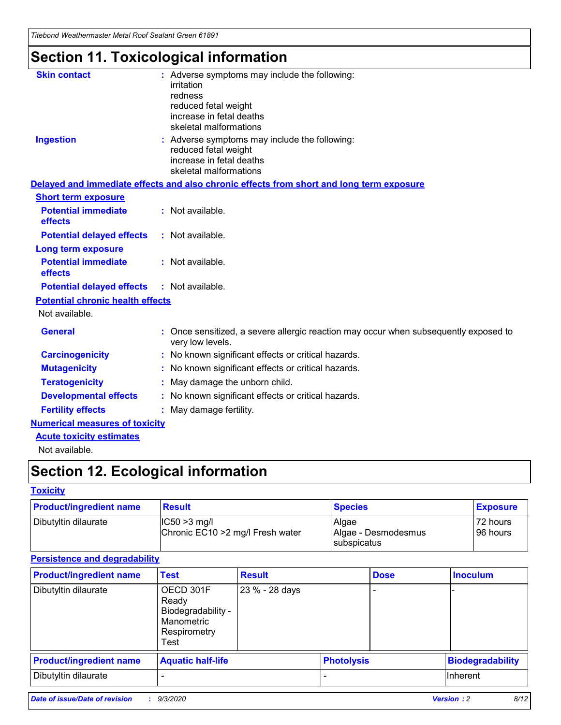*Titebond Weathermaster Metal Roof Sealant Green 61891*

# **Section 11. Toxicological information**

| <b>Skin contact</b>                     | irritation<br>redness<br>reduced fetal weight<br>increase in fetal deaths<br>skeletal malformations | : Adverse symptoms may include the following:                                            |
|-----------------------------------------|-----------------------------------------------------------------------------------------------------|------------------------------------------------------------------------------------------|
| <b>Ingestion</b>                        | reduced fetal weight<br>increase in fetal deaths<br>skeletal malformations                          | : Adverse symptoms may include the following:                                            |
|                                         |                                                                                                     | Delayed and immediate effects and also chronic effects from short and long term exposure |
| <b>Short term exposure</b>              |                                                                                                     |                                                                                          |
| <b>Potential immediate</b><br>effects   | : Not available.                                                                                    |                                                                                          |
| <b>Potential delayed effects</b>        | : Not available.                                                                                    |                                                                                          |
| <b>Long term exposure</b>               |                                                                                                     |                                                                                          |
| <b>Potential immediate</b><br>effects   | : Not available.                                                                                    |                                                                                          |
| <b>Potential delayed effects</b>        | : Not available.                                                                                    |                                                                                          |
| <b>Potential chronic health effects</b> |                                                                                                     |                                                                                          |
| Not available.                          |                                                                                                     |                                                                                          |
| <b>General</b>                          | very low levels.                                                                                    | : Once sensitized, a severe allergic reaction may occur when subsequently exposed to     |
| <b>Carcinogenicity</b>                  |                                                                                                     | : No known significant effects or critical hazards.                                      |
| <b>Mutagenicity</b>                     |                                                                                                     | No known significant effects or critical hazards.                                        |
| <b>Teratogenicity</b>                   |                                                                                                     | May damage the unborn child.                                                             |
| <b>Developmental effects</b>            |                                                                                                     | : No known significant effects or critical hazards.                                      |
| <b>Fertility effects</b>                | May damage fertility.                                                                               |                                                                                          |
| <b>Numerical measures of toxicity</b>   |                                                                                                     |                                                                                          |
| <b>Acute toxicity estimates</b>         |                                                                                                     |                                                                                          |
| Not available.                          |                                                                                                     |                                                                                          |

# **Section 12. Ecological information**

### **Toxicity**

| <b>Product/ingredient name</b> | <b>Result</b>                                       | <b>Species</b>               | <b>Exposure</b>       |
|--------------------------------|-----------------------------------------------------|------------------------------|-----------------------|
| Dibutyltin dilaurate           | $ IC50>3$ mg/l<br>Chronic EC10 > 2 mg/l Fresh water | Algae<br>Algae - Desmodesmus | 72 hours<br>196 hours |
|                                |                                                     | subspicatus                  |                       |

### **Persistence and degradability**

| <b>Product/ingredient name</b> | <b>Test</b>                                                                    | <b>Result</b>  |                   | <b>Dose</b> | <b>Inoculum</b>         |
|--------------------------------|--------------------------------------------------------------------------------|----------------|-------------------|-------------|-------------------------|
| Dibutyltin dilaurate           | OECD 301F<br>Ready<br>Biodegradability -<br>Manometric<br>Respirometry<br>Test | 23 % - 28 days |                   |             |                         |
| <b>Product/ingredient name</b> | <b>Aquatic half-life</b>                                                       |                | <b>Photolysis</b> |             | <b>Biodegradability</b> |
| Dibutyltin dilaurate           |                                                                                |                |                   |             | <b>Inherent</b>         |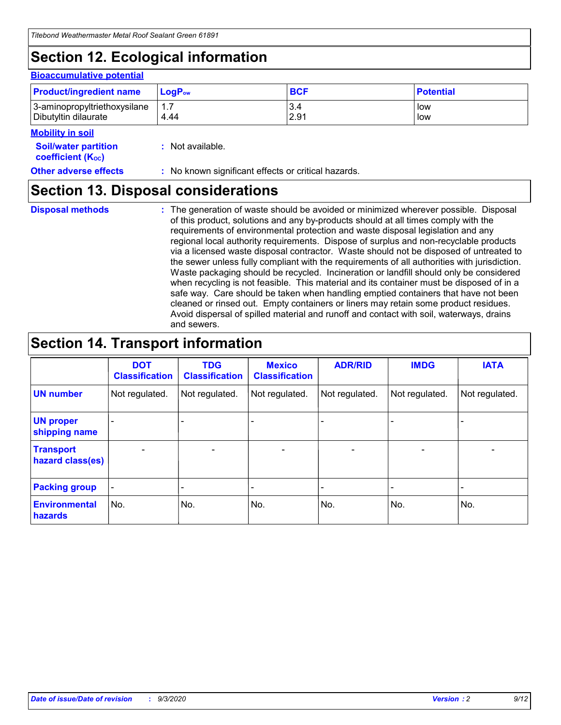# **Section 12. Ecological information**

#### **Bioaccumulative potential**

| <b>Product/ingredient name</b> | $\mathsf{LogP}_\mathsf{ow}$ | <b>BCF</b> | <b>Potential</b> |
|--------------------------------|-----------------------------|------------|------------------|
| 3-aminopropyltriethoxysilane   | 1.7                         | 3.4        | low              |
| Dibutyltin dilaurate           | 4.44                        | 2.91       | low              |

### **Mobility in soil**

| IVIUWIIILY III JUII                                     |                                                     |
|---------------------------------------------------------|-----------------------------------------------------|
| <b>Soil/water partition</b><br><b>coefficient (Koc)</b> | : Not available.                                    |
| <b>Other adverse effects</b>                            | : No known significant effects or critical hazards. |

### **Section 13. Disposal considerations**

**Disposal methods :**

The generation of waste should be avoided or minimized wherever possible. Disposal of this product, solutions and any by-products should at all times comply with the requirements of environmental protection and waste disposal legislation and any regional local authority requirements. Dispose of surplus and non-recyclable products via a licensed waste disposal contractor. Waste should not be disposed of untreated to the sewer unless fully compliant with the requirements of all authorities with jurisdiction. Waste packaging should be recycled. Incineration or landfill should only be considered when recycling is not feasible. This material and its container must be disposed of in a safe way. Care should be taken when handling emptied containers that have not been cleaned or rinsed out. Empty containers or liners may retain some product residues. Avoid dispersal of spilled material and runoff and contact with soil, waterways, drains and sewers.

## **Section 14. Transport information**

|                                      | <b>DOT</b><br><b>Classification</b> | <b>TDG</b><br><b>Classification</b> | <b>Mexico</b><br><b>Classification</b> | <b>ADR/RID</b>           | <b>IMDG</b>              | <b>IATA</b>    |
|--------------------------------------|-------------------------------------|-------------------------------------|----------------------------------------|--------------------------|--------------------------|----------------|
| <b>UN number</b>                     | Not regulated.                      | Not regulated.                      | Not regulated.                         | Not regulated.           | Not regulated.           | Not regulated. |
| <b>UN proper</b><br>shipping name    |                                     |                                     |                                        |                          |                          |                |
| <b>Transport</b><br>hazard class(es) | $\blacksquare$                      | $\overline{\phantom{0}}$            | $\overline{\phantom{a}}$               | $\overline{\phantom{0}}$ | $\overline{\phantom{a}}$ | $\blacksquare$ |
| <b>Packing group</b>                 |                                     |                                     |                                        |                          |                          | -              |
| <b>Environmental</b><br>hazards      | No.                                 | No.                                 | No.                                    | No.                      | No.                      | No.            |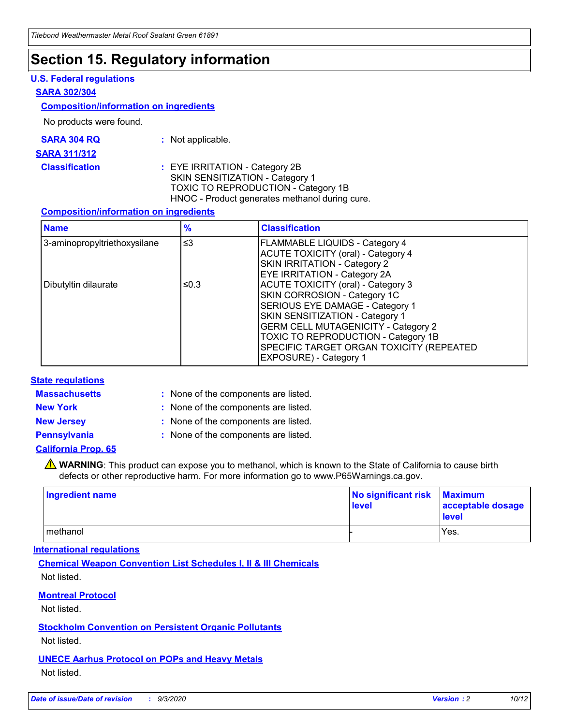# **Section 15. Regulatory information**

### **U.S. Federal regulations**

### **SARA 302/304**

### **Composition/information on ingredients**

No products were found.

| SARA 304 RQ | Not applicable. |
|-------------|-----------------|
|-------------|-----------------|

#### **SARA 311/312**

**Classification :** EYE IRRITATION - Category 2B SKIN SENSITIZATION - Category 1 TOXIC TO REPRODUCTION - Category 1B HNOC - Product generates methanol during cure.

### **Composition/information on ingredients**

| <b>Name</b>                  | $\frac{9}{6}$ | <b>Classification</b>                                                                                                                                                                                                                                                                                      |
|------------------------------|---------------|------------------------------------------------------------------------------------------------------------------------------------------------------------------------------------------------------------------------------------------------------------------------------------------------------------|
| 3-aminopropyltriethoxysilane | $\leq$ 3      | <b>FLAMMABLE LIQUIDS - Category 4</b><br><b>ACUTE TOXICITY (oral) - Category 4</b><br><b>SKIN IRRITATION - Category 2</b><br>EYE IRRITATION - Category 2A                                                                                                                                                  |
| Dibutyltin dilaurate         | ≤0.3          | <b>ACUTE TOXICITY (oral) - Category 3</b><br>SKIN CORROSION - Category 1C<br>SERIOUS EYE DAMAGE - Category 1<br>SKIN SENSITIZATION - Category 1<br><b>GERM CELL MUTAGENICITY - Category 2</b><br>TOXIC TO REPRODUCTION - Category 1B<br>SPECIFIC TARGET ORGAN TOXICITY (REPEATED<br>EXPOSURE) - Category 1 |

### **State regulations**

**Massachusetts :**

: None of the components are listed.

**New York :** None of the components are listed. **New Jersey :** None of the components are listed.

**Pennsylvania :** None of the components are listed.

### **California Prop. 65**

WARNING: This product can expose you to methanol, which is known to the State of California to cause birth defects or other reproductive harm. For more information go to www.P65Warnings.ca.gov.

| Ingredient name | No significant risk<br>level | <b>Maximum</b><br>acceptable dosage<br><b>level</b> |
|-----------------|------------------------------|-----------------------------------------------------|
| l methanol      |                              | Yes.                                                |

### **International regulations**

**Chemical Weapon Convention List Schedules I, II & III Chemicals** Not listed.

### **Montreal Protocol**

Not listed.

**Stockholm Convention on Persistent Organic Pollutants**

Not listed.

### **UNECE Aarhus Protocol on POPs and Heavy Metals** Not listed.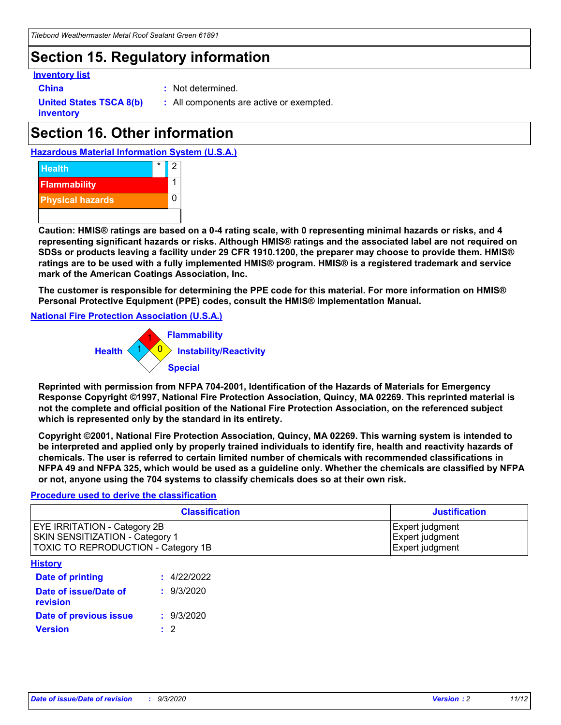# **Section 15. Regulatory information**

### **Inventory list**

- 
- **China :** Not determined.

**United States TSCA 8(b) inventory**

**:** All components are active or exempted.

# **Section 16. Other information**





**Caution: HMIS® ratings are based on a 0-4 rating scale, with 0 representing minimal hazards or risks, and 4 representing significant hazards or risks. Although HMIS® ratings and the associated label are not required on SDSs or products leaving a facility under 29 CFR 1910.1200, the preparer may choose to provide them. HMIS® ratings are to be used with a fully implemented HMIS® program. HMIS® is a registered trademark and service mark of the American Coatings Association, Inc.**

**The customer is responsible for determining the PPE code for this material. For more information on HMIS® Personal Protective Equipment (PPE) codes, consult the HMIS® Implementation Manual.**

**National Fire Protection Association (U.S.A.)**



**Reprinted with permission from NFPA 704-2001, Identification of the Hazards of Materials for Emergency Response Copyright ©1997, National Fire Protection Association, Quincy, MA 02269. This reprinted material is not the complete and official position of the National Fire Protection Association, on the referenced subject which is represented only by the standard in its entirety.**

**Copyright ©2001, National Fire Protection Association, Quincy, MA 02269. This warning system is intended to be interpreted and applied only by properly trained individuals to identify fire, health and reactivity hazards of chemicals. The user is referred to certain limited number of chemicals with recommended classifications in NFPA 49 and NFPA 325, which would be used as a guideline only. Whether the chemicals are classified by NFPA or not, anyone using the 704 systems to classify chemicals does so at their own risk.**

### **Procedure used to derive the classification**

| <b>Classification</b>                                                                                                | <b>Justification</b>                                  |
|----------------------------------------------------------------------------------------------------------------------|-------------------------------------------------------|
| <b>EYE IRRITATION - Category 2B</b><br><b>SKIN SENSITIZATION - Category 1</b><br>TOXIC TO REPRODUCTION - Category 1B | Expert judgment<br>Expert judgment<br>Expert judgment |
| <b>History</b>                                                                                                       |                                                       |

| .                                 |             |
|-----------------------------------|-------------|
| <b>Date of printing</b>           | : 4/22/2022 |
| Date of issue/Date of<br>revision | : 9/3/2020  |
| Date of previous issue            | : 9/3/2020  |
| <b>Version</b>                    | $\cdot$ 2   |
|                                   |             |